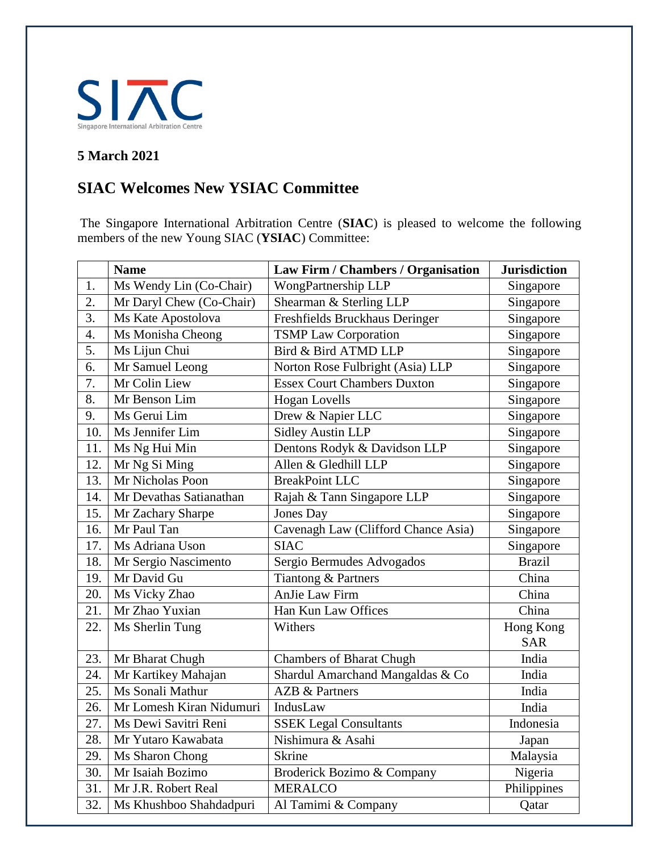

## **5 March 2021**

## **SIAC Welcomes New YSIAC Committee**

The Singapore International Arbitration Centre (**SIAC**) is pleased to welcome the following members of the new Young SIAC (**YSIAC**) Committee:

|                  | <b>Name</b>              | Law Firm / Chambers / Organisation  | <b>Jurisdiction</b> |
|------------------|--------------------------|-------------------------------------|---------------------|
| 1.               | Ms Wendy Lin (Co-Chair)  | WongPartnership LLP                 | Singapore           |
| $\overline{2}$ . | Mr Daryl Chew (Co-Chair) | Shearman & Sterling LLP             | Singapore           |
| $\overline{3}$ . | Ms Kate Apostolova       | Freshfields Bruckhaus Deringer      | Singapore           |
| 4.               | Ms Monisha Cheong        | <b>TSMP Law Corporation</b>         | Singapore           |
| 5.               | Ms Lijun Chui            | Bird & Bird ATMD LLP                | Singapore           |
| 6.               | Mr Samuel Leong          | Norton Rose Fulbright (Asia) LLP    | Singapore           |
| 7.               | Mr Colin Liew            | <b>Essex Court Chambers Duxton</b>  | Singapore           |
| 8.               | Mr Benson Lim            | <b>Hogan Lovells</b>                | Singapore           |
| 9.               | Ms Gerui Lim             | Drew & Napier LLC                   | Singapore           |
| 10.              | Ms Jennifer Lim          | <b>Sidley Austin LLP</b>            | Singapore           |
| 11.              | Ms Ng Hui Min            | Dentons Rodyk & Davidson LLP        | Singapore           |
| 12.              | Mr Ng Si Ming            | Allen & Gledhill LLP                | Singapore           |
| 13.              | Mr Nicholas Poon         | <b>BreakPoint LLC</b>               | Singapore           |
| 14.              | Mr Devathas Satianathan  | Rajah & Tann Singapore LLP          | Singapore           |
| 15.              | Mr Zachary Sharpe        | <b>Jones Day</b>                    | Singapore           |
| 16.              | Mr Paul Tan              | Cavenagh Law (Clifford Chance Asia) | Singapore           |
| 17.              | Ms Adriana Uson          | <b>SIAC</b>                         | Singapore           |
| 18.              | Mr Sergio Nascimento     | Sergio Bermudes Advogados           | <b>Brazil</b>       |
| 19.              | Mr David Gu              | Tiantong & Partners                 | China               |
| 20.              | Ms Vicky Zhao            | AnJie Law Firm                      | China               |
| 21.              | Mr Zhao Yuxian           | Han Kun Law Offices                 | China               |
| 22.              | Ms Sherlin Tung          | Withers                             | Hong Kong           |
|                  |                          |                                     | <b>SAR</b>          |
| 23.              | Mr Bharat Chugh          | <b>Chambers of Bharat Chugh</b>     | India               |
| 24.              | Mr Kartikey Mahajan      | Shardul Amarchand Mangaldas & Co    | India               |
| 25.              | Ms Sonali Mathur         | <b>AZB &amp; Partners</b>           | India               |
| 26.              | Mr Lomesh Kiran Nidumuri | IndusLaw                            | India               |
| 27.              | Ms Dewi Savitri Reni     | <b>SSEK Legal Consultants</b>       | Indonesia           |
| 28.              | Mr Yutaro Kawabata       | Nishimura & Asahi                   | Japan               |
| 29.              | Ms Sharon Chong          | <b>Skrine</b>                       | Malaysia            |
| 30.              | Mr Isaiah Bozimo         | Broderick Bozimo & Company          | Nigeria             |
| 31.              | Mr J.R. Robert Real      | <b>MERALCO</b>                      | Philippines         |
| 32.              | Ms Khushboo Shahdadpuri  | Al Tamimi & Company                 | Qatar               |